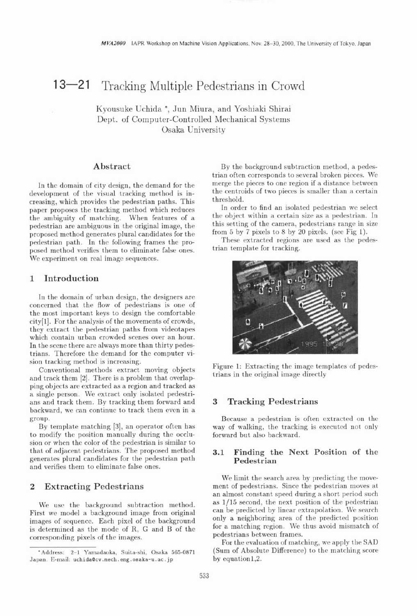# 13—21 Tracking Multiple Pedestrians in Crowd

Kyousuke Uchida \*, Jun Miura, and Yoshiaki Shirai Dept. of Computer-Controlled Mechanical Systems Osaka University

### **Abstract**

In the domain of city design, the demand for the development of the visual tracking method is increasing, which provides the pedestrian paths. This paper proposes the tracking method which reduces the ambiguity of matching. When features of a pedestrian are ambiguous in the original image, the proposed method generates plural candidates for the pedestrian path. In the following frames the proposed method verifies them to eliminate false ones. We experiment on real image sequences.

### **1 Introduction**

In the domain of urban design, the designers are concerned that the flow of pedestrians is one of the most important keys to design the comfortable city[l]. For the analysis of the movements of crowds, they extract the pedestrian paths from videotapes which contain urban crowded scenes over an hour. In the scene there are always more than thirty pedestrians. Therefore the demand for the computer vi-

and track them  $[2]$ . There is a problem that overlapping objects are extracted as a region and tracked as a single person. We extract only isolated pedestrians and track them. By tracking them forward and **3 Tracking Pedestrians**  backward, we can continue to track them even in a group. Because a pedestrian is often extracted on the

to modify the position manually during the occlusion or when the color of the pedestrian is similar to that of adjacent pedestrians. The proposed method **3.1 Finding the Next Position of the generates plural candidates for the pedestrian path**  $\blacksquare$  **<b>Pedestrian** generates plural candidates for the pedestrian path and verifies them to eliminate false ones.

#### **2 Extracting Pedestrians**

We use the background subtraction method. First we model a background image from original images of sequence. Each pixel of the background is determined as the mode of R, G and B of the corresponding pixels of the images.

By the background subtraction method, a pedestrian often corresponds to several broken pieces. We merge the pieces to one region if a distance between the centroids of two pieces is smaller than a certain threshold.

In order to find an isolated pedestrian we select the object within a certain size as a pedestrian. In this setting of the camera, pedestrians range in size from 5 by 7 pixels to 8 by 20 pixels. (see Fig 1).

These extracted regions are used as the pedestrian template for tracking.



sion tracking method is increasing.<br>
Conventional methods extract moving objects Figure 1: Extracting the image templates of pedes-<br>
trians in the original image directly

By template matching [3], an operator often has way of walking, the tracking is executed not only modify the position manually during the occlu-<br>forward but also backward.

We limit the search area by predicting the movement of pedestrians. Since the pedestrian moves at an almost constant speed during a short period such as 1/15 second, the next position of the pedestrian can be predicted by linear extrapolation. We search only a neighboring area of the predicted position for a matching region. We thus avoid mismatch of pedestrians between frames.

For the evaluation of matching, we apply the SAD (Sum of Absolute Difference) to the matching score by equation1,2.

<sup>&#</sup>x27;Address: 2-1 Yamadaoka, Suita-shi, Osaka 565-0871 Japan. E-mail: **uchidaacv .mech.** eng. **osaka-u. ac** . jp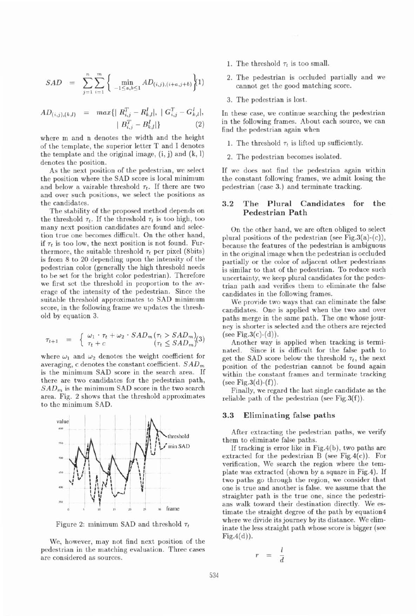$$
SAD = \sum_{j=1}^{n} \sum_{i=1}^{m} \left\{ \min_{-1 \le a,b \le 1} AD_{(i,j),(i+a,j+b)} \right\} (1)
$$

$$
AD_{(i,j),(k,l)} = max\{ | R_{i,j}^T - R_{k,l}^I|, | G_{i,j}^T - G_{k,l}^I|, | B_{i,j}^T - B_{k,l}^I| \}
$$
\n
$$
| B_{i,j}^T - B_{k,l}^I| \}
$$
\n(2)

where m and n denotes the width and the height of the template, the superior letter T and I denotes the template and the original image,  $(i, j)$  and  $(k, l)$ denotes the position.

As the next position of the pedestrian, we select the position where the SAD score is local minimum and below a vairable threshold  $\tau_t$ . If there are two and over such positions, we select the positions as the candidates.

The stability of the proposed method depends on the threshold  $\tau_t$ . If the threshold  $\tau_t$  is too high, too many next position candidates are found and selection true one becomes difficult. On the other hand, if  $\tau_t$  is too low, the next position is not found. Furthermore, the suitable threshold  $\tau_t$  per pixel (8bits) is from 8 to 20 depending upon the intensity of the pedestrian color (generally the high threshold needs to be set for the bright color pedestrian). Therefore we first set the threshold in proportion to the average of the intensity of the pedestrian. Since the suitable threshold approximates to SAD minimum score, in the following frame we updates the threshold by equation 3.

$$
\tau_{t+1} = \begin{cases} \omega_1 \cdot \tau_t + \omega_2 \cdot SAD_m(\tau_t > SAD_m) \\ \tau_t + c \end{cases} (7_t \leq SAD_m)
$$

where  $\omega_1$  and  $\omega_2$  denotes the weight coefficient for averaging, c denotes the constant coefficient.  $SAD_m$ is the minimum SAD score in the search area. If there are two candidates for the pedestrian path,  $SAD_m$  is the minimum SAD score in the two search area. Fig. 2 shows that the threshold approximates to the minimum SAD.



Figure 2: minimum SAD and threshold  $\tau_t$ 

We, however, may not find next position of the pedestrian in the matching evaluation. Three cases are considered as sources.

- 1. The threshold  $\tau_t$  is too small.
- 2. The pedestrian is occluded partially and we cannot get the good matching score.
- 3. The pedestrian is lost.

In these case, we continue searching the pedestrian in the following frames. About each source, we can find the pedestrian again when

1. The threshold  $\tau_t$  is lifted up sufficiently.

2. The pedestrian becomes isolated.

If we docs not find the pedestrian again within the constant following frames, we admit losing the pedestrian (case 3.) and terminate tracking.

#### **3.2 The Plural Candidates for the Pedestrian Path**

On the other hand, we are often obliged to select plural positions of the pedestrian (see Fig.  $3(a)-(c)$ ), because the features of the pedestrian is ambiguous in the original image when the pedestrian is occluded partially or the color of adjacent other pedestrians is similar to that of the pedestrian. To reduce such uncertainty, we keep plural candidates for the pedestrian path and verifies them to eliminate the false candidates in the following frames.

We provide two ways that can eliminate the false candidates. One is applied when the two and over paths merge in the same path. The one whose journey is shorter is selected and the others are rejected (see Fig.  $3(c)-(d)$ ).

Another way is applied when tracking is terminated. Since it is difficult for the false path to get the SAD score below the threshold  $\tau_t$ , the next position of the pedestrian cannot be found again within the constant frames and terminate tracking (see Fig.  $3(d)-(f)$ ).

Finally, we regard the last single candidate as the reliable path of the pedestrian (see Fig.  $3(f)$ ).

#### **3.3 Eliminating false paths**

After extracting the pedestrian paths, we verify them to eliminate false paths.

If tracking is error like in Fig.4(b), two paths are extracted for the pedestrian B (see Fig.4 $(c)$ ). For verification, We search the region where the template was extracted (shown by a square in Fig.4). If two paths go through the region, we consider that one is true and another is false. we assume that the straighter path is the true one, since the pedestrians walk toward their destination directly. We estimate the straight degree of the path by equation4 where we divide its journey by its distance. We eliminate the less straight path whose score is bigger (see  $Fig.4(d)$ .

$$
= \frac{l}{d}
$$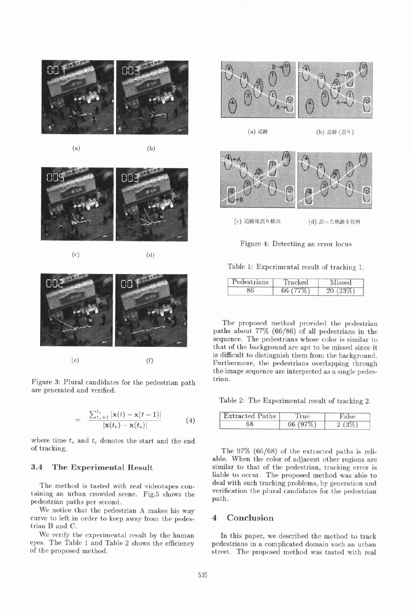

 $(a)$ 













Figure **3:** Plural candidates for the pedestrian path are generated and verified.

$$
= \frac{\sum_{t_s+1}^{t_e} |\mathbf{x}(t) - \mathbf{x}(t-1)|}{|\mathbf{x}(t_e) - \mathbf{x}(t_s)|} \tag{4}
$$

where time  $t_s$  and  $t_e$  denotes the start and the end of tracking.

## **3.4 The Experimental Result**

The method is tasted with real videotapes containing an urban crowded scene. Fig.5 shows the pedestrian paths per second.

We notice that the pedestrian A makes his way curve to left in order to keep away from the pedestrian B and C.

We verify the experimental result by the human eyes. The Table 1 and Table 2 shows the efficiency of the proposed method.



(a) 追跡 (b) 追跡 (設り)



Figure 4: Detectiing an error locus

| Pedestrians | Tracked | Missed  |
|-------------|---------|---------|
| 86          | 66(77%) | 20(23%) |

The proposed method provided the pedestrian paths about  $77\%$  (66/86) of all pedestrians in the sequence. The pedestrians whose color is similar to that of the background are **apt** to be missed since it is difficult to distinguish them from the background. Furthermore, the pedestrians overlapping through the image sequence are interpreted as a single pedestrian.

Table 2: The Experimental result of tracking **2.** 

| <b>Extracted Paths</b> | True       | False |
|------------------------|------------|-------|
| 68                     | 66 $(97%)$ | 2(3%) |

The 97% (66/68) of the extracted paths is reliable. When the color of adjacent other regions are similar to that of the pedestrian, tracking error is liable to occur. The proposed method was able to deal with such tracking problems, by generation and verification the plural candidates for the pedestrian path.

#### **4 Conclusion**

In this paper, we described the method to track pedestrians in a complicated domain such an urban street. The proposed method was tasted with real